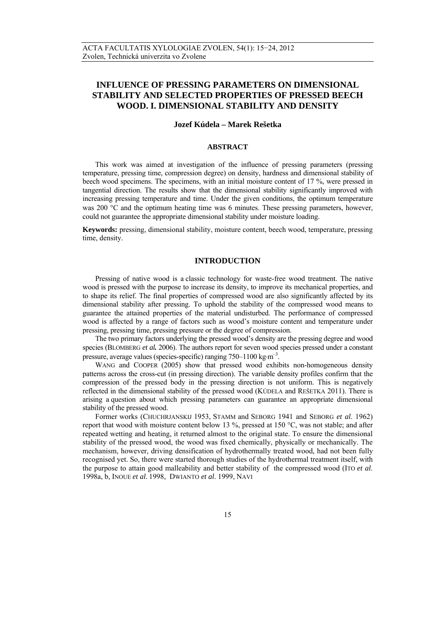# **INFLUENCE OF PRESSING PARAMETERS ON DIMENSIONAL STABILITY AND SELECTED PROPERTIES OF PRESSED BEECH WOOD. I. DIMENSIONAL STABILITY AND DENSITY**

# **Jozef Kúdela – Marek Rešetka**

# **ABSTRACT**

This work was aimed at investigation of the influence of pressing parameters (pressing temperature, pressing time, compression degree) on density, hardness and dimensional stability of beech wood specimens. The specimens, with an initial moisture content of 17 %, were pressed in tangential direction. The results show that the dimensional stability significantly improved with increasing pressing temperature and time. Under the given conditions, the optimum temperature was 200  $^{\circ}$ C and the optimum heating time was 6 minutes. These pressing parameters, however, could not guarantee the appropriate dimensional stability under moisture loading.

**Keywords:** pressing, dimensional stability, moisture content, beech wood, temperature, pressing time, density.

# **INTRODUCTION**

 Pressing of native wood is a classic technology for waste-free wood treatment. The native wood is pressed with the purpose to increase its density, to improve its mechanical properties, and to shape its relief. The final properties of compressed wood are also significantly affected by its dimensional stability after pressing. To uphold the stability of the compressed wood means to guarantee the attained properties of the material undisturbed. The performance of compressed wood is affected by a range of factors such as wood's moisture content and temperature under pressing, pressing time, pressing pressure or the degree of compression.

 The two primary factors underlying the pressed wood's density are the pressing degree and wood species (BLOMBERG *et al.* 2006). The authors report for seven wood species pressed under a constant pressure, average values (species-specific) ranging  $750-1100 \text{ kg} \cdot \text{m}^{-3}$ .

WANG and COOPER (2005) show that pressed wood exhibits non-homogeneous density patterns across the cross-cut (in pressing direction). The variable density profiles confirm that the compression of the pressed body in the pressing direction is not uniform. This is negatively reflected in the dimensional stability of the pressed wood (KÚDELA and REŠETKA 2011). There is arising a question about which pressing parameters can guarantee an appropriate dimensional stability of the pressed wood.

Former works (CHUCHRJANSKIJ 1953, STAMM and SEBORG 1941 and SEBORG *et al*. 1962) report that wood with moisture content below 13 %, pressed at 150 °C, was not stable; and after repeated wetting and heating, it returned almost to the original state. To ensure the dimensional stability of the pressed wood, the wood was fixed chemically, physically or mechanically. The mechanism, however, driving densification of hydrothermally treated wood, had not been fully recognised yet. So, there were started thorough studies of the hydrothermal treatment itself, with the purpose to attain good malleability and better stability of the compressed wood (ITO *et al*. 1998a, b, INOUE *et al*. 1998, DWIANTO *et al*. 1999, NAVI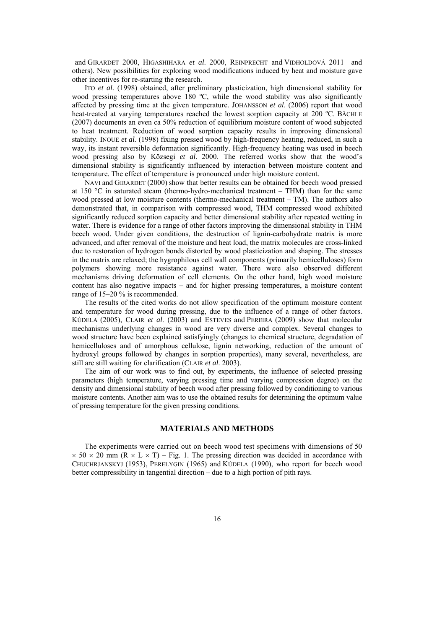and GIRARDET 2000, HIGASHIHARA *et al*. 2000, REINPRECHT and VIDHOLDOVÁ 2011 and others). New possibilities for exploring wood modifications induced by heat and moisture gave other incentives for re-starting the research.

 ITO *et al.* (1998) obtained, after preliminary plasticization, high dimensional stability for wood pressing temperatures above 180 °C, while the wood stability was also significantly affected by pressing time at the given temperature. JOHANSSON *et al*. (2006) report that wood heat-treated at varying temperatures reached the lowest sorption capacity at 200 °C. BÄCHLE (2007) documents an even ca 50% reduction of equilibrium moisture content of wood subjected to heat treatment. Reduction of wood sorption capacity results in improving dimensional stability. INOUE *et al.* (1998) fixing pressed wood by high-frequency heating, reduced, in such a way, its instant reversible deformation significantly. High-frequency heating was used in beech wood pressing also by Közsegi *et al*. 2000. The referred works show that the wood's dimensional stability is significantly influenced by interaction between moisture content and temperature. The effect of temperature is pronounced under high moisture content.

 NAVI and GIRARDET (2000) show that better results can be obtained for beech wood pressed at 150 °C in saturated steam (thermo-hydro-mechanical treatment – THM) than for the same wood pressed at low moisture contents (thermo-mechanical treatment – TM). The authors also demonstrated that, in comparison with compressed wood, THM compressed wood exhibited significantly reduced sorption capacity and better dimensional stability after repeated wetting in water. There is evidence for a range of other factors improving the dimensional stability in THM beech wood. Under given conditions, the destruction of lignin-carbohydrate matrix is more advanced, and after removal of the moisture and heat load, the matrix molecules are cross-linked due to restoration of hydrogen bonds distorted by wood plasticization and shaping. The stresses in the matrix are relaxed; the hygrophilous cell wall components (primarily hemicelluloses) form polymers showing more resistance against water. There were also observed different mechanisms driving deformation of cell elements. On the other hand, high wood moisture content has also negative impacts – and for higher pressing temperatures, a moisture content range of 15–20 % is recommended.

The results of the cited works do not allow specification of the optimum moisture content and temperature for wood during pressing, due to the influence of a range of other factors. KÚDELA (2005), CLAIR *et al*. (2003) and ESTEVES and PEREIRA (2009) show that molecular mechanisms underlying changes in wood are very diverse and complex. Several changes to wood structure have been explained satisfyingly (changes to chemical structure, degradation of hemicelluloses and of amorphous cellulose, lignin networking, reduction of the amount of hydroxyl groups followed by changes in sorption properties), many several, nevertheless, are still are still waiting for clarification (CLAIR *et al*. 2003).

The aim of our work was to find out, by experiments, the influence of selected pressing parameters (high temperature, varying pressing time and varying compression degree) on the density and dimensional stability of beech wood after pressing followed by conditioning to various moisture contents. Another aim was to use the obtained results for determining the optimum value of pressing temperature for the given pressing conditions.

# **MATERIALS AND METHODS**

 The experiments were carried out on beech wood test specimens with dimensions of 50  $\times$  50  $\times$  20 mm (R  $\times$  L  $\times$  T) – Fig. 1. The pressing direction was decided in accordance with CHUCHRJANSKYJ (1953), PERELYGIN (1965) and KÚDELA (1990), who report for beech wood better compressibility in tangential direction – due to a high portion of pith rays.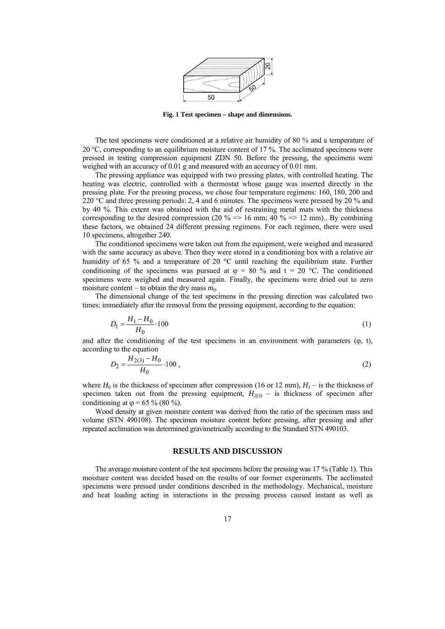

**Fig. 1 Test specimen – shape and dimensions.** 

The test specimens were conditioned at a relative air humidity of 80 % and a temperature of 20  $\degree$ C, corresponding to an equilibrium moisture content of 17 %. The acclimated specimens were pressed in testing compression equipment ZDN 50. Before the pressing, the specimens were weighed with an accuracy of 0.01 g and measured with an accuracy of 0.01 mm.

The pressing appliance was equipped with two pressing plates, with controlled heating. The heating was electric, controlled with a thermostat whose gauge was inserted directly in the pressing plate. For the pressing process, we chose four temperature regimens: 160, 180, 200 and 220 °C and three pressing periods: 2, 4 and 6 minutes. The specimens were pressed by 20 % and by 40 %. This extent was obtained with the aid of restraining metal mats with the thickness corresponding to the desired compression (20 % => 16 mm; 40 % => 12 mm).. By combining these factors, we obtained 24 different pressing regimens. For each regimen, there were used 10 specimens, altogether 240.

The conditioned specimens were taken out from the equipment, were weighed and measured with the same accuracy as above. Then they were stored in a conditioning box with a relative air humidity of 65 % and a temperature of 20  $^{\circ}$ C until reaching the equilibrium state. Further conditioning of the specimens was pursued at  $\varphi = 80$  % and  $t = 20$  °C. The conditioned specimens were weighed and measured again. Finally, the specimens were dried out to zero moisture content – to obtain the dry mass  $m_0$ .

The dimensional change of the test specimens in the pressing direction was calculated two times: immediately after the removal from the pressing equipment, according to the equation:

$$
D_1 = \frac{H_1 - H_0}{H_0} \cdot 100\tag{1}
$$

and after the conditioning of the test specimens in an environment with parameters  $(\varphi, t)$ , according to the equation

$$
D_2 = \frac{H_{2(3)} - H_0}{H_0} \cdot 100 \,,\tag{2}
$$

where  $H_0$  is the thickness of specimen after compression (16 or 12 mm),  $H_1$  – is the thickness of specimen taken out from the pressing equipment,  $H_{2(3)}$  – is thickness of specimen after conditioning at  $\varphi$  = 65 % (80 %).

 Wood density at given moisture content was derived from the ratio of the specimen mass and volume (STN 490108). The specimen moisture content before pressing, after pressing and after repeated acclimation was determined gravimetrically according to the Standard STN 490103.

#### **RESULTS AND DISCUSSION**

The average moisture content of the test specimens before the pressing was 17 % (Table 1). This moisture content was decided based on the results of our former experiments. The acclimated specimens were pressed under conditions described in the methodology. Mechanical, moisture and heat loading acting in interactions in the pressing process caused instant as well as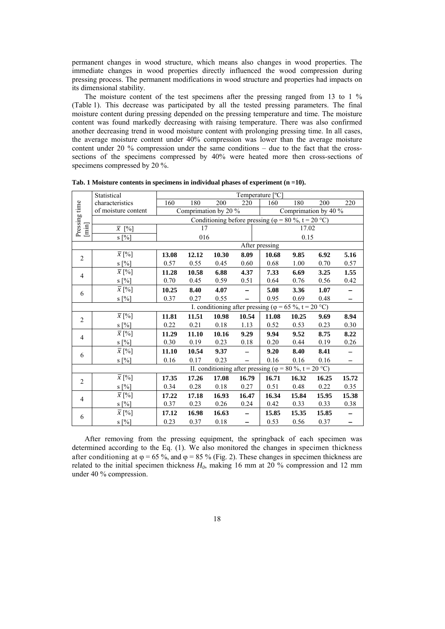permanent changes in wood structure, which means also changes in wood properties. The immediate changes in wood properties directly influenced the wood compression during pressing process. The permanent modifications in wood structure and properties had impacts on its dimensional stability.

 The moisture content of the test specimens after the pressing ranged from 13 to 1 % (Table 1). This decrease was participated by all the tested pressing parameters. The final moisture content during pressing depended on the pressing temperature and time. The moisture content was found markedly decreasing with raising temperature. There was also confirmed another decreasing trend in wood moisture content with prolonging pressing time. In all cases, the average moisture content under 40% compression was lower than the average moisture content under 20 % compression under the same conditions – due to the fact that the crosssections of the specimens compressed by 40% were heated more then cross-sections of specimens compressed by 20 %.

|                                                                                                                                                                                                                                                                                                                                                                                                                                                                                                                                                                                                                          | Statistical                                                   | Temperature [°C]                                            |       |          |                          |                                                                |       |       |                          |  |
|--------------------------------------------------------------------------------------------------------------------------------------------------------------------------------------------------------------------------------------------------------------------------------------------------------------------------------------------------------------------------------------------------------------------------------------------------------------------------------------------------------------------------------------------------------------------------------------------------------------------------|---------------------------------------------------------------|-------------------------------------------------------------|-------|----------|--------------------------|----------------------------------------------------------------|-------|-------|--------------------------|--|
| Pressing time                                                                                                                                                                                                                                                                                                                                                                                                                                                                                                                                                                                                            | characteristics                                               | 160                                                         | 180   | 200      | 220                      | 160                                                            | 180   | 200   | 220                      |  |
|                                                                                                                                                                                                                                                                                                                                                                                                                                                                                                                                                                                                                          | of moisture content                                           | Comprimation by 20 %                                        |       |          |                          | Comprimation by 40 %                                           |       |       |                          |  |
|                                                                                                                                                                                                                                                                                                                                                                                                                                                                                                                                                                                                                          |                                                               | Conditioning before pressing ( $\varphi$ = 80 %, t = 20 °C) |       |          |                          |                                                                |       |       |                          |  |
| $[\min] % \begin{center} % \includegraphics[width=\linewidth]{imagesSupplemental_3.png} % \end{center} % \caption { % Our method can be used for the proposed method. % Note that the \emph{Stab} and the \emph{Stab} can be used for the \emph{Stab} and the \emph{Stab} can be used for the \emph{Stab} and the \emph{Stab} can be used for the \emph{Stab} and the \emph{Stab} can be used for the \emph{Stab} and the \emph{Stab} can be used for the \emph{Stab} and the \emph{Stab} can be used for the \emph{Stab} and the \emph{Stab} can be used for the \emph{Stab} and the \emph{Stab} can be used for the \$ | $\overline{x}$ [%]                                            | 17                                                          |       |          |                          | 17.02                                                          |       |       |                          |  |
|                                                                                                                                                                                                                                                                                                                                                                                                                                                                                                                                                                                                                          | $S[\%]$                                                       | 016                                                         |       |          | 0.15                     |                                                                |       |       |                          |  |
|                                                                                                                                                                                                                                                                                                                                                                                                                                                                                                                                                                                                                          |                                                               | After pressing                                              |       |          |                          |                                                                |       |       |                          |  |
| $\overline{2}$                                                                                                                                                                                                                                                                                                                                                                                                                                                                                                                                                                                                           | $\overline{x}$ [%]                                            | 13.08                                                       | 12.12 | 10.30    | 8.09                     | 10.68                                                          | 9.85  | 6.92  | 5.16                     |  |
|                                                                                                                                                                                                                                                                                                                                                                                                                                                                                                                                                                                                                          | s [%]                                                         | 0.57                                                        | 0.55  | 0.45     | 0.60                     | 0.68                                                           | 1.00  | 0.70  | 0.57                     |  |
| $\overline{4}$                                                                                                                                                                                                                                                                                                                                                                                                                                                                                                                                                                                                           | $\overline{x}$ [%]                                            | 11.28                                                       | 10.58 | 6.88     | 4.37                     | 7.33                                                           | 6.69  | 3.25  | 1.55                     |  |
|                                                                                                                                                                                                                                                                                                                                                                                                                                                                                                                                                                                                                          | s [%]                                                         | 0.70                                                        | 0.45  | 0.59     | 0.51                     | 0.64                                                           | 0.76  | 0.56  | 0.42                     |  |
| 6                                                                                                                                                                                                                                                                                                                                                                                                                                                                                                                                                                                                                        | $\overline{x}$ [%]                                            | 10.25                                                       | 8.40  | 4.07     | $\overline{\phantom{0}}$ | 5.08                                                           | 3.36  | 1.07  |                          |  |
|                                                                                                                                                                                                                                                                                                                                                                                                                                                                                                                                                                                                                          | s [%]                                                         | 0.37                                                        | 0.27  | 0.55     |                          | 0.95                                                           | 0.69  | 0.48  | $\overline{\phantom{0}}$ |  |
|                                                                                                                                                                                                                                                                                                                                                                                                                                                                                                                                                                                                                          | I. conditioning after pressing ( $\varphi$ = 65 %, t = 20 °C) |                                                             |       |          |                          |                                                                |       |       |                          |  |
| $\overline{2}$                                                                                                                                                                                                                                                                                                                                                                                                                                                                                                                                                                                                           | $\overline{x}$ [%]                                            | 11.81                                                       | 11.51 | 10.98    | 10.54                    | 11.08                                                          | 10.25 | 9.69  | 8.94                     |  |
|                                                                                                                                                                                                                                                                                                                                                                                                                                                                                                                                                                                                                          | $S[\%]$                                                       | 0.22                                                        | 0.21  | 0.18     | 1.13                     | 0.52                                                           | 0.53  | 0.23  | 0.30                     |  |
| $\overline{4}$                                                                                                                                                                                                                                                                                                                                                                                                                                                                                                                                                                                                           | $\overline{x}$ [%]                                            | 11.29                                                       | 11.10 | 10.16    | 9.29                     | 9.94                                                           | 9.52  | 8.75  | 8.22                     |  |
|                                                                                                                                                                                                                                                                                                                                                                                                                                                                                                                                                                                                                          | $S[\%]$                                                       | 0.30                                                        | 0.19  | 0.23     | 0.18                     | 0.20                                                           | 0.44  | 0.19  | $0.26\,$                 |  |
| 6                                                                                                                                                                                                                                                                                                                                                                                                                                                                                                                                                                                                                        | $\overline{x}$ [%]                                            | 11.10                                                       | 10.54 | 9.37     |                          | 9.20                                                           | 8.40  | 8.41  |                          |  |
|                                                                                                                                                                                                                                                                                                                                                                                                                                                                                                                                                                                                                          | s [%]                                                         | 0.16                                                        | 0.17  | 0.23     |                          | 0.16                                                           | 0.16  | 0.16  |                          |  |
|                                                                                                                                                                                                                                                                                                                                                                                                                                                                                                                                                                                                                          |                                                               |                                                             |       |          |                          | II. conditioning after pressing ( $\varphi$ = 80 %, t = 20 °C) |       |       |                          |  |
| $\overline{2}$                                                                                                                                                                                                                                                                                                                                                                                                                                                                                                                                                                                                           | $\overline{x}$ [%]                                            | 17.35                                                       | 17.26 | 17.08    | 16.79                    | 16.71                                                          | 16.32 | 16.25 | 15.72                    |  |
|                                                                                                                                                                                                                                                                                                                                                                                                                                                                                                                                                                                                                          | s [%]                                                         | 0.34                                                        | 0.28  | $0.18\,$ | 0.27                     | 0.51                                                           | 0.48  | 0.22  | 0.35                     |  |
| $\overline{4}$                                                                                                                                                                                                                                                                                                                                                                                                                                                                                                                                                                                                           | $\overline{x}$ [%]                                            | 17.22                                                       | 17.18 | 16.93    | 16.47                    | 16.34                                                          | 15.84 | 15.95 | 15.38                    |  |
|                                                                                                                                                                                                                                                                                                                                                                                                                                                                                                                                                                                                                          | s [%]                                                         | 0.37                                                        | 0.23  | 0.26     | 0.24                     | 0.42                                                           | 0.33  | 0.33  | 0.38                     |  |
| 6                                                                                                                                                                                                                                                                                                                                                                                                                                                                                                                                                                                                                        | $\overline{\overline{x}}$ [%]                                 | 17.12                                                       | 16.98 | 16.63    |                          | 15.85                                                          | 15.35 | 15.85 |                          |  |
|                                                                                                                                                                                                                                                                                                                                                                                                                                                                                                                                                                                                                          | s [%]                                                         | 0.23                                                        | 0.37  | 0.18     |                          | 0.53                                                           | 0.56  | 0.37  |                          |  |

**Tab. 1 Moisture contents in specimens in individual phases of experiment (n =10).** 

 After removing from the pressing equipment, the springback of each specimen was determined according to the Eq. (1). We also monitored the changes in specimen thickness after conditioning at  $\varphi = 65\%$ , and  $\varphi = 85\%$  (Fig. 2). These changes in specimen thickness are related to the initial specimen thickness  $H_0$ , making 16 mm at 20 % compression and 12 mm under 40 % compression.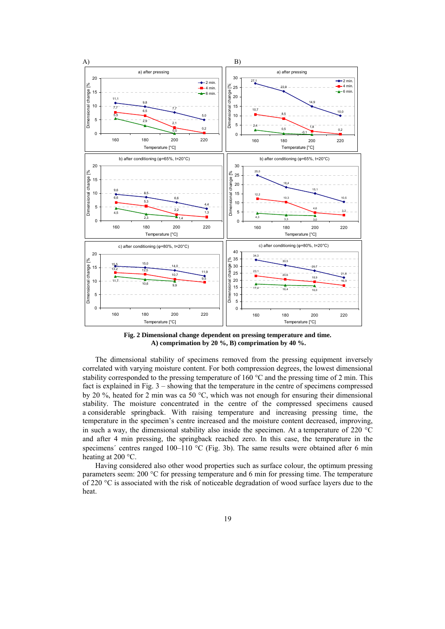

**Fig. 2 Dimensional change dependent on pressing temperature and time. A) comprimation by 20 %, B) comprimation by 40 %.** 

 The dimensional stability of specimens removed from the pressing equipment inversely correlated with varying moisture content. For both compression degrees, the lowest dimensional stability corresponded to the pressing temperature of 160  $^{\circ}$ C and the pressing time of 2 min. This fact is explained in Fig. 3 – showing that the temperature in the centre of specimens compressed by 20 %, heated for 2 min was ca 50 °C, which was not enough for ensuring their dimensional stability. The moisture concentrated in the centre of the compressed specimens caused a considerable springback. With raising temperature and increasing pressing time, the temperature in the specimen's centre increased and the moisture content decreased, improving, in such a way, the dimensional stability also inside the specimen. At a temperature of 220  $^{\circ}$ C and after 4 min pressing, the springback reached zero. In this case, the temperature in the specimens' centres ranged 100–110 °C (Fig. 3b). The same results were obtained after 6 min heating at 200 $\,^{\circ}$ C.

Having considered also other wood properties such as surface colour, the optimum pressing parameters seem: 200 °C for pressing temperature and 6 min for pressing time. The temperature of 220 °C is associated with the risk of noticeable degradation of wood surface layers due to the heat.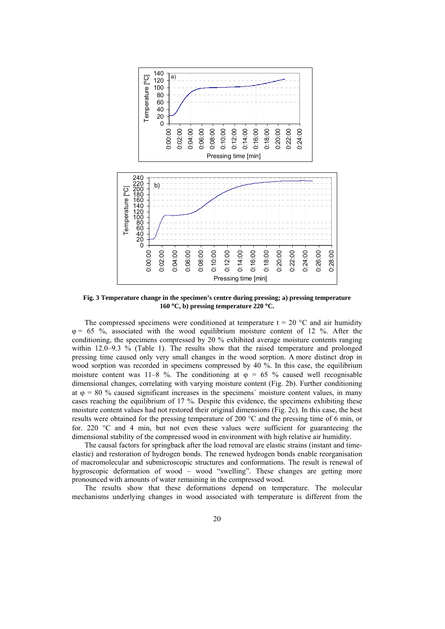

**Fig. 3 Temperature change in the specimen's centre during pressing; a) pressing temperature 160 C, b) pressing temperature 220 C.** 

The compressed specimens were conditioned at temperature  $t = 20$  °C and air humidity  $\varphi$  = 65 %, associated with the wood equilibrium moisture content of 12 %. After the conditioning, the specimens compressed by 20 % exhibited average moisture contents ranging within 12.0–9.3 % (Table 1). The results show that the raised temperature and prolonged pressing time caused only very small changes in the wood sorption. A more distinct drop in wood sorption was recorded in specimens compressed by 40 %. In this case, the equilibrium moisture content was 11–8 %. The conditioning at  $\varphi = 65$  % caused well recognisable dimensional changes, correlating with varying moisture content (Fig. 2b). Further conditioning at  $\varphi = 80$  % caused significant increases in the specimens' moisture content values, in many cases reaching the equilibrium of 17 %. Despite this evidence, the specimens exhibiting these moisture content values had not restored their original dimensions (Fig. 2c). In this case, the best results were obtained for the pressing temperature of 200  $^{\circ}$ C and the pressing time of 6 min, or for. 220  $\degree$ C and 4 min, but not even these values were sufficient for guaranteeing the dimensional stability of the compressed wood in environment with high relative air humidity.

The causal factors for springback after the load removal are elastic strains (instant and timeelastic) and restoration of hydrogen bonds. The renewed hydrogen bonds enable reorganisation of macromolecular and submicroscopic structures and conformations. The result is renewal of hygroscopic deformation of wood – wood "swelling". These changes are getting more pronounced with amounts of water remaining in the compressed wood.

The results show that these deformations depend on temperature. The molecular mechanisms underlying changes in wood associated with temperature is different from the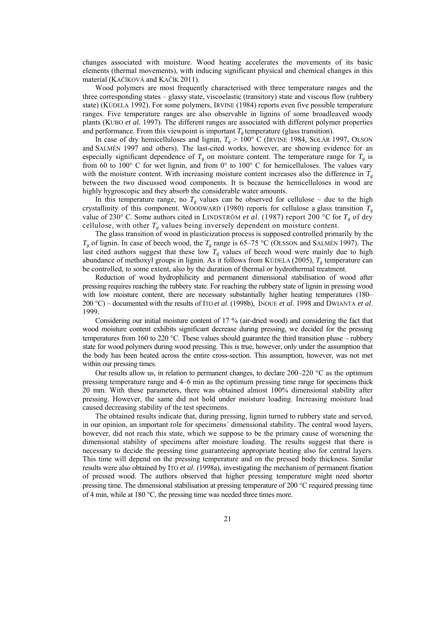changes associated with moisture. Wood heating accelerates the movements of its basic elements (thermal movements), with inducing significant physical and chemical changes in this material (KAČÍKOVÁ and KAČÍK 2011).

Wood polymers are most frequently characterised with three temperature ranges and the three corresponding states – glassy state, viscoelastic (transitory) state and viscous flow (rubbery state) (KÚDELA 1992). For some polymers, IRVINE (1984) reports even five possible temperature ranges. Five temperature ranges are also observable in lignins of some broadleaved woody plants (KUBO *et al.* 1997). The different ranges are associated with different polymer properties and performance. From this viewpoint is important  $T_g$  temperature (glass transition).

In case of dry hemicelluloses and lignin,  $T_g > 100^\circ$  C (IRVINE 1984, SOLÁR 1997, OLSON and SALMÉN 1997 and others). The last-cited works, however, are showing evidence for an especially significant dependence of  $T_g$  on moisture content. The temperature range for  $T_g$  is from 60 to 100 $^{\circ}$  C for wet lignin, and from 0 $^{\circ}$  to 100 $^{\circ}$  C for hemicelluloses. The values vary with the moisture content. With increasing moisture content increases also the difference in  $T<sub>g</sub>$ between the two discussed wood components. It is because the hemicelluloses in wood are highly hygroscopic and they absorb the considerable water amounts.

In this temperature range, no  $T_g$  values can be observed for cellulose – due to the high crystallinity of this component. WOODWARD (1980) reports for cellulose a glass transition  $T_g$ value of 230° C. Some authors cited in LINDSTRÖM *et al.* (1987) report 200 °C for *Tg* of dry cellulose, with other  $T<sub>g</sub>$  values being inversely dependent on moisture content.

The glass transition of wood in plasticization process is supposed controlled primarily by the  $T_g$  of lignin. In case of beech wood, the  $T_g$  range is 65–75 °C (OLSSON and SALMÉN 1997). The last cited authors suggest that these low  $T_g$  values of beech wood were mainly due to high abundance of methoxyl groups in lignin. As it follows from KÚDELA (2005),  $T_g$  temperature can be controlled, to some extent, also by the duration of thermal or hydrothermal treatment.

Reduction of wood hydrophilicity and permanent dimensional stabilisation of wood after pressing requires reaching the rubbery state. For reaching the rubbery state of lignin in pressing wood with low moisture content, there are necessary substantially higher heating temperatures (180– 200 °C) – documented with the results of ITO *et al*. (1998b), INOUE *et al*. 1998 and DWIANTA *et al*. 1999.

Considering our initial moisture content of 17 % (air-dried wood) and considering the fact that wood moisture content exhibits significant decrease during pressing, we decided for the pressing temperatures from 160 to 220 °C. These values should guarantee the third transition phase – rubbery state for wood polymers during wood pressing. This is true, however, only under the assumption that the body has been heated across the entire cross-section. This assumption, however, was not met within our pressing times.

Our results allow us, in relation to permanent changes, to declare  $200-220$  °C as the optimum pressing temperature range and 4–6 min as the optimum pressing time range for specimens thick 20 mm. With these parameters, there was obtained almost 100% dimensional stability after pressing. However, the same did not hold under moisture loading. Increasing moisture load caused decreasing stability of the test specimens.

The obtained results indicate that, during pressing, lignin turned to rubbery state and served, in our opinion, an important role for specimens´ dimensional stability. The central wood layers, however, did not reach this state, which we suppose to be the primary cause of worsening the dimensional stability of specimens after moisture loading. The results suggest that there is necessary to decide the pressing time guaranteeing appropriate heating also for central layers. This time will depend on the pressing temperature and on the pressed body thickness. Similar results were also obtained by ITO *et al*. (1998a), investigating the mechanism of permanent fixation of pressed wood. The authors observed that higher pressing temperature might need shorter pressing time. The dimensional stabilisation at pressing temperature of 200  $^{\circ}$ C required pressing time of 4 min, while at 180  $\degree$ C, the pressing time was needed three times more.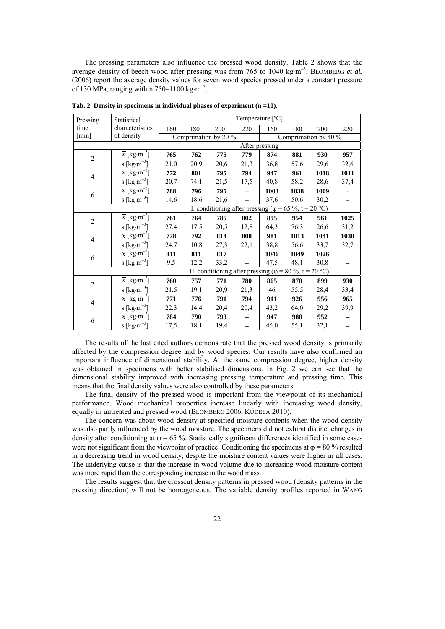The pressing parameters also influence the pressed wood density. Table 2 shows that the average density of beech wood after pressing was from 765 to 1040 kg·m<sup>-3</sup>. BLOMBERG *et al.* (2006) report the average density values for seven wood species pressed under a constant pressure of 130 MPa, ranging within 750–1100 kg·m<sup>-3</sup>.

| Pressing             | Statistical                          | Temperature [°C]                                              |      |      |                                                                |                      |      |      |      |  |
|----------------------|--------------------------------------|---------------------------------------------------------------|------|------|----------------------------------------------------------------|----------------------|------|------|------|--|
| time                 | characteristics                      | 160                                                           | 180  | 200  | 220                                                            | 160                  | 180  | 200  | 220  |  |
| $\lceil \min \rceil$ | of density                           | Comprimation by 20 %                                          |      |      |                                                                | Comprimation by 40 % |      |      |      |  |
|                      |                                      |                                                               |      |      | After pressing                                                 |                      |      |      |      |  |
| $\overline{2}$       | $\overline{x}$ [kg·m <sup>-3</sup> ] | 765                                                           | 762  | 775  | 779                                                            | 874                  | 881  | 930  | 957  |  |
|                      | s [ $\text{kg}\cdot\text{m}^{-3}$ ]  | 21,0                                                          | 20,9 | 20,6 | 21,3                                                           | 36,8                 | 57,6 | 29,6 | 32,6 |  |
| $\overline{4}$       | $\overline{x}$ [kg·m <sup>-3</sup> ] | 772                                                           | 801  | 795  | 794                                                            | 947                  | 961  | 1018 | 1011 |  |
|                      | s [ $\text{kg}\cdot\text{m}^{-3}$ ]  | 20,7                                                          | 74,1 | 21,5 | 17,5                                                           | 40,8                 | 58,2 | 28,6 | 37,4 |  |
| 6                    | $\overline{x}$ [kg·m <sup>-3</sup> ] | 788                                                           | 796  | 795  |                                                                | 1003                 | 1038 | 1009 |      |  |
|                      | s [ $\text{kg}\cdot\text{m}^{-3}$ ]  | 14,6                                                          | 18,6 | 21,6 |                                                                | 37,6                 | 50,6 | 30,2 |      |  |
|                      |                                      | I. conditioning after pressing ( $\varphi$ = 65 %, t = 20 °C) |      |      |                                                                |                      |      |      |      |  |
| $\overline{2}$       | $\overline{x}$ [kg·m <sup>-3</sup> ] | 761                                                           | 764  | 785  | 802                                                            | 895                  | 954  | 961  | 1025 |  |
|                      | s [ $\text{kg}\cdot\text{m}^{-3}$ ]  | 27,4                                                          | 17,5 | 20,5 | 12,8                                                           | 64,3                 | 76,3 | 26,6 | 31,2 |  |
| $\overline{4}$       | $\overline{x}$ [kg·m <sup>-3</sup> ] | 778                                                           | 792  | 814  | 808                                                            | 981                  | 1013 | 1041 | 1030 |  |
|                      | s [ $\text{kg}\cdot\text{m}^{-3}$ ]  | 24,7                                                          | 10,8 | 27,3 | 22,1                                                           | 38,8                 | 56,6 | 33,7 | 32,7 |  |
| 6                    | $\overline{x}$ [kg·m <sup>-3</sup> ] | 811                                                           | 811  | 817  |                                                                | 1046                 | 1049 | 1026 |      |  |
|                      | s [ $\text{kg}\cdot\text{m}^{-3}$ ]  | 9,5                                                           | 12,2 | 33,2 |                                                                | 47,5                 | 48,1 | 30,8 |      |  |
|                      |                                      |                                                               |      |      | II. conditioning after pressing ( $\varphi$ = 80 %, t = 20 °C) |                      |      |      |      |  |
| $\overline{c}$       | $\overline{x}$ [kg·m <sup>-3</sup> ] | 760                                                           | 757  | 771  | 780                                                            | 865                  | 870  | 899  | 930  |  |
|                      | s [ $\text{kg}\cdot\text{m}^{-3}$ ]  | 21,5                                                          | 19,1 | 20,9 | 21,3                                                           | 46                   | 55,5 | 28,4 | 33,4 |  |
| $\overline{4}$       | $\overline{x}$ [kg·m <sup>-3</sup> ] | 771                                                           | 776  | 791  | 794                                                            | 911                  | 926  | 956  | 965  |  |
|                      | s [ $\text{kg}\cdot\text{m}^{-3}$ ]  | 22,3                                                          | 14,4 | 20,4 | 20,4                                                           | 43,2                 | 64,0 | 29,2 | 39,9 |  |
| 6                    | $\overline{x}$ [kg·m <sup>-3</sup> ] | 784                                                           | 790  | 793  |                                                                | 947                  | 988  | 952  |      |  |
|                      | s [ $\text{kg}\cdot\text{m}^{-3}$ ]  | 17,5                                                          | 18,1 | 19,4 |                                                                | 45,0                 | 55,1 | 32,1 |      |  |

**Tab. 2 Density in specimens in individual phases of experiment (n =10).** 

 The results of the last cited authors demonstrate that the pressed wood density is primarily affected by the compression degree and by wood species. Our results have also confirmed an important influence of dimensional stability. At the same compression degree, higher density was obtained in specimens with better stabilised dimensions. In Fig. 2 we can see that the dimensional stability improved with increasing pressing temperature and pressing time. This means that the final density values were also controlled by these parameters.

The final density of the pressed wood is important from the viewpoint of its mechanical performance. Wood mechanical properties increase linearly with increasing wood density, equally in untreated and pressed wood (BLOMBERG 2006, KÚDELA 2010).

 The concern was about wood density at specified moisture contents when the wood density was also partly influenced by the wood moisture. The specimens did not exhibit distinct changes in density after conditioning at  $\varphi = 65\%$ . Statistically significant differences identified in some cases were not significant from the viewpoint of practice. Conditioning the specimens at  $\varphi = 80$  % resulted in a decreasing trend in wood density, despite the moisture content values were higher in all cases. The underlying cause is that the increase in wood volume due to increasing wood moisture content was more rapid than the corresponding increase in the wood mass.

 The results suggest that the crosscut density patterns in pressed wood (density patterns in the pressing direction) will not be homogeneous. The variable density profiles reported in WANG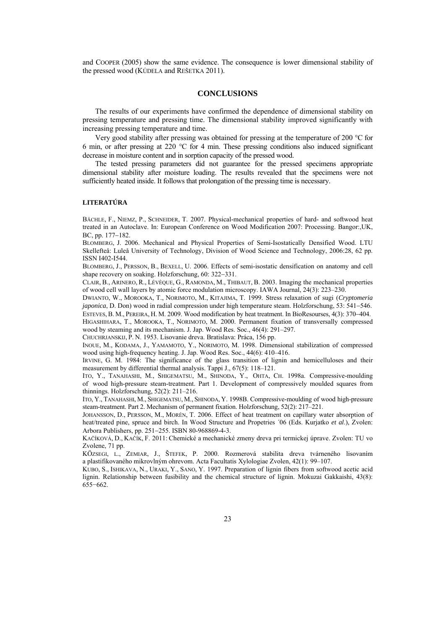and COOPER (2005) show the same evidence. The consequence is lower dimensional stability of the pressed wood (KÚDELA and REŠETKA 2011).

#### **CONCLUSIONS**

 The results of our experiments have confirmed the dependence of dimensional stability on pressing temperature and pressing time. The dimensional stability improved significantly with increasing pressing temperature and time.

Very good stability after pressing was obtained for pressing at the temperature of 200  $\degree$ C for 6 min, or after pressing at 220 °C for 4 min. These pressing conditions also induced significant decrease in moisture content and in sorption capacity of the pressed wood.

The tested pressing parameters did not guarantee for the pressed specimens appropriate dimensional stability after moisture loading. The results revealed that the specimens were not sufficiently heated inside. It follows that prolongation of the pressing time is necessary.

## **LITERATÚRA**

BÄCHLE, F., NIEMZ, P., SCHNEIDER, T. 2007. Physical-mechanical properties of hard- and softwood heat treated in an Autoclave. In: European Conference on Wood Modification 2007: Processing. Bangor:,UK, BC, pp. 177-182.

BLOMBERG, J. 2006. Mechanical and Physical Properties of Semi-Isostatically Densified Wood. LTU Skellefteå: Luleå University of Technology, Division of Wood Science and Technology, 2006:28, 62 pp. ISSN I402-I544.

BLOMBERG, J., PERSSON, B., BEXELL, U. 2006. Effects of semi-isostatic densification on anatomy and cell shape recovery on soaking. Holzforschung,  $60: 322-331$ .

CLAIR, B., ARINERO, R., LÉVÈQUE, G., RAMONDA, M., THIBAUT, B. 2003. Imaging the mechanical properties of wood cell wall layers by atomic force modulation microscopy. IAWA Journal, 24(3): 223–230.

DWIANTO, W., MOROOKA, T., NORIMOTO, M., KITAJIMA, T. 1999. Stress relaxation of sugi (*Cryptomeria japonica*, D. Don) wood in radial compression under high temperature steam. Holzforschung, 53: 541–546.

ESTEVES, B. M., PEREIRA, H. M. 2009. Wood modification by heat treatment. In BioResourses, 4(3): 370-404. HIGASHIHARA, T., MOROOKA, T., NORIMOTO, M. 2000. Permanent fixation of transversally compressed wood by steaming and its mechanism. J. Jap. Wood Res. Soc., 46(4): 291–297.

CHUCHRJANSKIJ, P. N. 1953. Lisovanie dreva. Bratislava: Práca, 156 pp.

INOUE, M., KODAMA, J., YAMAMOTO, Y., NORIMOTO, M. 1998. Dimensional stabilization of compressed wood using high-frequency heating. J. Jap. Wood Res. Soc., 44(6): 410–416.

IRVINE, G. M. 1984: The significance of the glass transition of lignin and hemicelluloses and their measurement by differential thermal analysis. Tappi J., 67(5): 118–121.

ITO, Y., TANAHASHI, M., SHIGEMATSU, M., SHINODA, Y., OHTA, CH. 1998a. Compressive-moulding of wood high-pressure steam-treatment. Part 1. Development of compressively moulded squares from thinnings. Holzforschung, 52(2): 211–216.

ITO, Y., TANAHASHI, M., SHIGEMATSU, M., SHINODA, Y. 1998B. Compressive-moulding of wood high-pressure steam-treatment. Part 2. Mechanism of permanent fixation. Holzforschung, 52(2): 217–221.

JOHANSSON, D., PERSSON, M., MORÉN, T. 2006. Effect of heat treatment on capillary water absorption of heat/treated pine, spruce and birch. In Wood Structure and Propetries ´06 (Eds. Kurjatko *et al*.), Zvolen: Arbora Publishers, pp. 251-255. ISBN 80-968869-4-3.

KAČÍKOVÁ, D., KAČÍK, F. 2011: Chemické a mechanické zmeny dreva pri termickej úprave. Zvolen: TU vo Zvolene, 71 pp.

KÖZSEGI, L., ZEMIAR, J., ŠTEFEK, P. 2000. Rozmerová stabilita dreva tvárneného lisovaním a plastifikovaného mikrovlným ohrevom. Acta Facultatis Xylologiae Zvolen, 42(1): 99–107.

KUBO, S., ISHIKAVA, N., URAKI, Y., SANO, Y. 1997. Preparation of lignin fibers from softwood acetic acid lignin. Relationship between fusibility and the chemical structure of lignin. Mokuzai Gakkaishi, 43(8): 655−662.